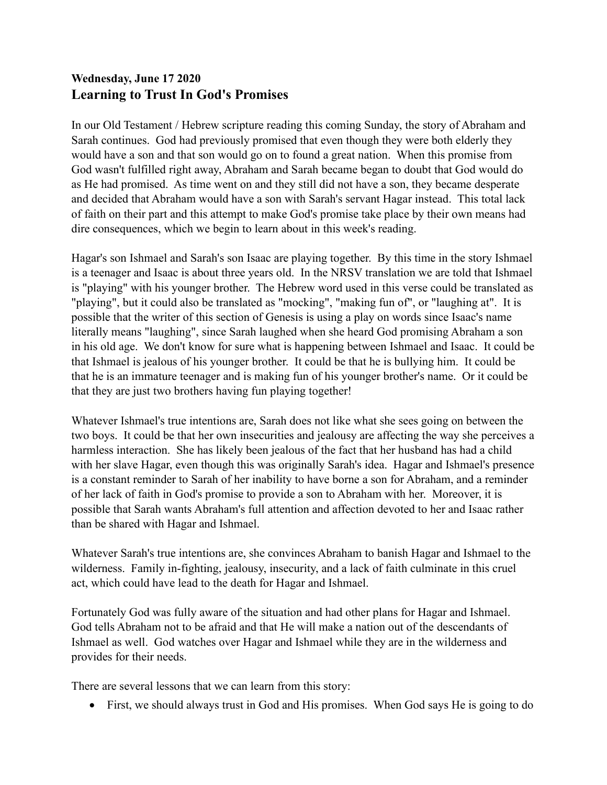## **Wednesday, June 17 2020 Learning to Trust In God's Promises**

In our Old Testament / Hebrew scripture reading this coming Sunday, the story of Abraham and Sarah continues. God had previously promised that even though they were both elderly they would have a son and that son would go on to found a great nation. When this promise from God wasn't fulfilled right away, Abraham and Sarah became began to doubt that God would do as He had promised. As time went on and they still did not have a son, they became desperate and decided that Abraham would have a son with Sarah's servant Hagar instead. This total lack of faith on their part and this attempt to make God's promise take place by their own means had dire consequences, which we begin to learn about in this week's reading.

Hagar's son Ishmael and Sarah's son Isaac are playing together. By this time in the story Ishmael is a teenager and Isaac is about three years old. In the NRSV translation we are told that Ishmael is "playing" with his younger brother. The Hebrew word used in this verse could be translated as "playing", but it could also be translated as "mocking", "making fun of", or "laughing at". It is possible that the writer of this section of Genesis is using a play on words since Isaac's name literally means "laughing", since Sarah laughed when she heard God promising Abraham a son in his old age. We don't know for sure what is happening between Ishmael and Isaac. It could be that Ishmael is jealous of his younger brother. It could be that he is bullying him. It could be that he is an immature teenager and is making fun of his younger brother's name. Or it could be that they are just two brothers having fun playing together!

Whatever Ishmael's true intentions are, Sarah does not like what she sees going on between the two boys. It could be that her own insecurities and jealousy are affecting the way she perceives a harmless interaction. She has likely been jealous of the fact that her husband has had a child with her slave Hagar, even though this was originally Sarah's idea. Hagar and Ishmael's presence is a constant reminder to Sarah of her inability to have borne a son for Abraham, and a reminder of her lack of faith in God's promise to provide a son to Abraham with her. Moreover, it is possible that Sarah wants Abraham's full attention and affection devoted to her and Isaac rather than be shared with Hagar and Ishmael.

Whatever Sarah's true intentions are, she convinces Abraham to banish Hagar and Ishmael to the wilderness. Family in-fighting, jealousy, insecurity, and a lack of faith culminate in this cruel act, which could have lead to the death for Hagar and Ishmael.

Fortunately God was fully aware of the situation and had other plans for Hagar and Ishmael. God tells Abraham not to be afraid and that He will make a nation out of the descendants of Ishmael as well. God watches over Hagar and Ishmael while they are in the wilderness and provides for their needs.

There are several lessons that we can learn from this story:

• First, we should always trust in God and His promises. When God says He is going to do